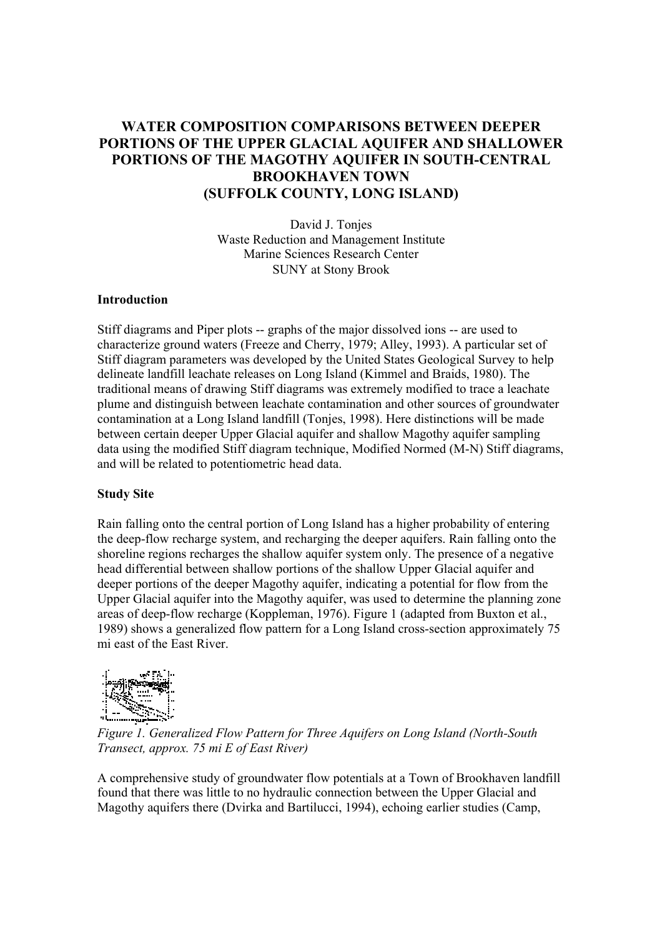# **WATER COMPOSITION COMPARISONS BETWEEN DEEPER PORTIONS OF THE UPPER GLACIAL AQUIFER AND SHALLOWER PORTIONS OF THE MAGOTHY AQUIFER IN SOUTH-CENTRAL BROOKHAVEN TOWN (SUFFOLK COUNTY, LONG ISLAND)**

David J. Tonjes Waste Reduction and Management Institute Marine Sciences Research Center SUNY at Stony Brook

### **Introduction**

Stiff diagrams and Piper plots -- graphs of the major dissolved ions -- are used to characterize ground waters (Freeze and Cherry, 1979; Alley, 1993). A particular set of Stiff diagram parameters was developed by the United States Geological Survey to help delineate landfill leachate releases on Long Island (Kimmel and Braids, 1980). The traditional means of drawing Stiff diagrams was extremely modified to trace a leachate plume and distinguish between leachate contamination and other sources of groundwater contamination at a Long Island landfill (Tonjes, 1998). Here distinctions will be made between certain deeper Upper Glacial aquifer and shallow Magothy aquifer sampling data using the modified Stiff diagram technique, Modified Normed (M-N) Stiff diagrams, and will be related to potentiometric head data.

### **Study Site**

Rain falling onto the central portion of Long Island has a higher probability of entering the deep-flow recharge system, and recharging the deeper aquifers. Rain falling onto the shoreline regions recharges the shallow aquifer system only. The presence of a negative head differential between shallow portions of the shallow Upper Glacial aquifer and deeper portions of the deeper Magothy aquifer, indicating a potential for flow from the Upper Glacial aquifer into the Magothy aquifer, was used to determine the planning zone areas of deep-flow recharge (Koppleman, 1976). Figure 1 (adapted from Buxton et al., 1989) shows a generalized flow pattern for a Long Island cross-section approximately 75 mi east of the East River.



*Figure 1. Generalized Flow Pattern for Three Aquifers on Long Island (North-South Transect, approx. 75 mi E of East River)*

A comprehensive study of groundwater flow potentials at a Town of Brookhaven landfill found that there was little to no hydraulic connection between the Upper Glacial and Magothy aquifers there (Dvirka and Bartilucci, 1994), echoing earlier studies (Camp,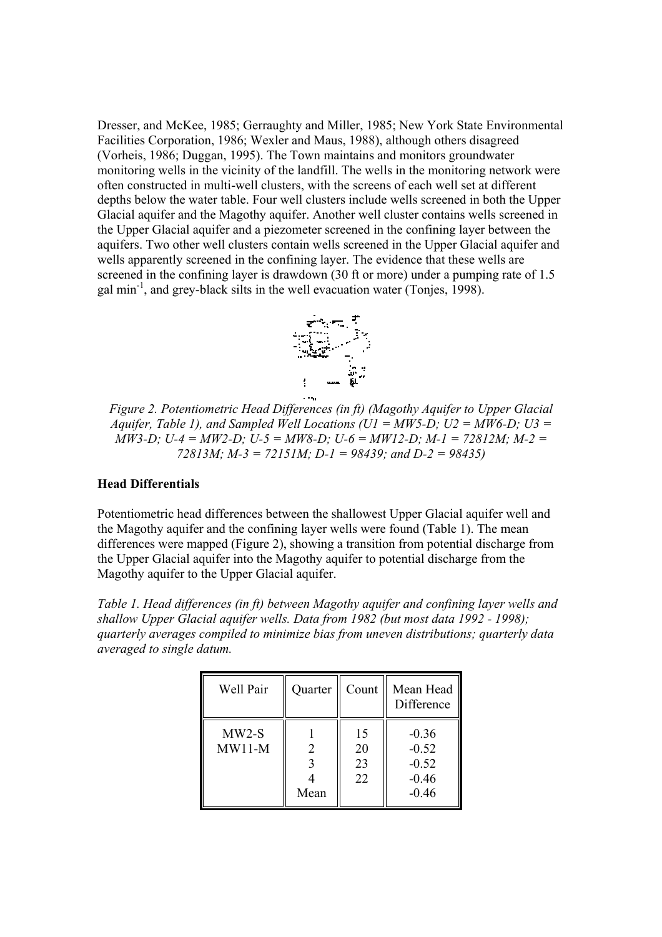Dresser, and McKee, 1985; Gerraughty and Miller, 1985; New York State Environmental Facilities Corporation, 1986; Wexler and Maus, 1988), although others disagreed (Vorheis, 1986; Duggan, 1995). The Town maintains and monitors groundwater monitoring wells in the vicinity of the landfill. The wells in the monitoring network were often constructed in multi-well clusters, with the screens of each well set at different depths below the water table. Four well clusters include wells screened in both the Upper Glacial aquifer and the Magothy aquifer. Another well cluster contains wells screened in the Upper Glacial aquifer and a piezometer screened in the confining layer between the aquifers. Two other well clusters contain wells screened in the Upper Glacial aquifer and wells apparently screened in the confining layer. The evidence that these wells are screened in the confining layer is drawdown (30 ft or more) under a pumping rate of 1.5 gal  $min^{-1}$ , and grey-black silts in the well evacuation water (Tonies, 1998).



*Figure 2. Potentiometric Head Differences (in ft) (Magothy Aquifer to Upper Glacial Aquifer, Table 1), and Sampled Well Locations (U1 = MW5-D; U2 = MW6-D; U3 =*  $\overline{M}W3-D$ ;  $U-4 = MW2-D$ ;  $U-5 = MW8-D$ ;  $U-6 = MW12-D$ ;  $M-1 = 72812M$ ;  $M-2 =$ *72813M; M-3 = 72151M; D-1 = 98439; and D-2 = 98435)*

### **Head Differentials**

Potentiometric head differences between the shallowest Upper Glacial aquifer well and the Magothy aquifer and the confining layer wells were found (Table 1). The mean differences were mapped (Figure 2), showing a transition from potential discharge from the Upper Glacial aquifer into the Magothy aquifer to potential discharge from the Magothy aquifer to the Upper Glacial aquifer.

*Table 1. Head differences (in ft) between Magothy aquifer and confining layer wells and shallow Upper Glacial aquifer wells. Data from 1982 (but most data 1992 - 1998); quarterly averages compiled to minimize bias from uneven distributions; quarterly data averaged to single datum.*

| Well Pair           | Quarter        | Count                | Mean Head<br>Difference                             |
|---------------------|----------------|----------------------|-----------------------------------------------------|
| $MW2-S$<br>$MW11-M$ | 2<br>3<br>Mean | 15<br>20<br>23<br>22 | $-0.36$<br>$-0.52$<br>$-0.52$<br>$-0.46$<br>$-0.46$ |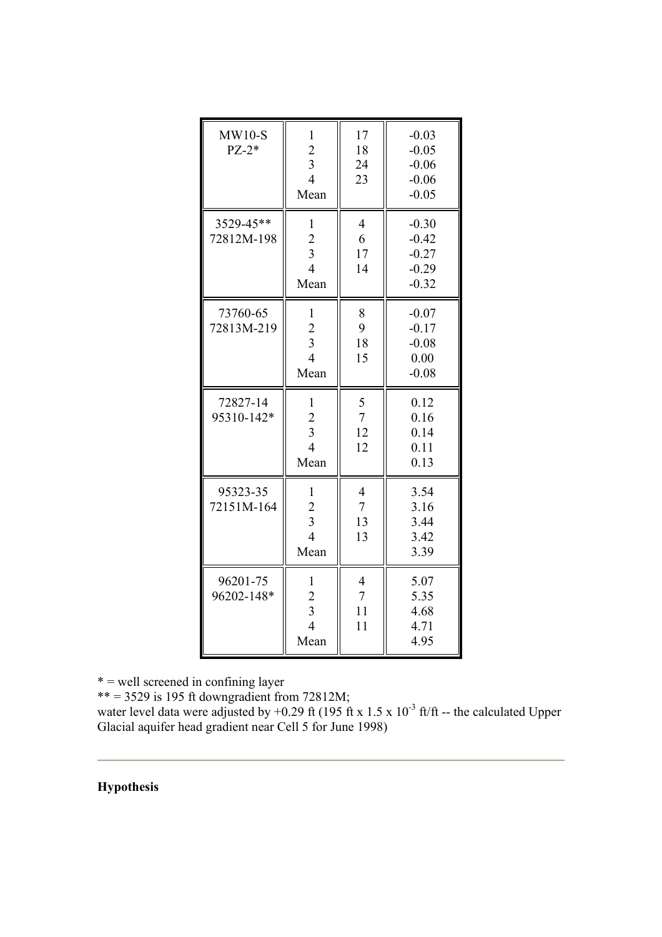| $MW10-S$<br>$PZ-2*$     | $\mathbf{1}$<br>$\overline{c}$<br>$\overline{3}$<br>$\overline{4}$<br>Mean          | 17<br>18<br>24<br>23                         | $-0.03$<br>$-0.05$<br>$-0.06$<br>$-0.06$<br>$-0.05$ |
|-------------------------|-------------------------------------------------------------------------------------|----------------------------------------------|-----------------------------------------------------|
| 3529-45**<br>72812M-198 | $\mathbf{1}$<br>$\overline{c}$<br>$\overline{3}$<br>$\overline{4}$<br>Mean          | $\overline{4}$<br>6<br>17<br>14              | $-0.30$<br>$-0.42$<br>$-0.27$<br>$-0.29$<br>$-0.32$ |
| 73760-65<br>72813M-219  | $\mathbf{1}$<br>$\overline{2}$<br>$\overline{3}$<br>$\overline{4}$<br>Mean          | 8<br>9<br>18<br>15                           | $-0.07$<br>$-0.17$<br>$-0.08$<br>0.00<br>$-0.08$    |
| 72827-14<br>95310-142*  | $\mathbf{1}$<br>$\overline{2}$<br>$\overline{\mathbf{3}}$<br>$\overline{4}$<br>Mean | 5<br>$\overline{7}$<br>12<br>12              | 0.12<br>0.16<br>0.14<br>0.11<br>0.13                |
| 95323-35<br>72151M-164  | $\mathbf{1}$<br>$\overline{c}$<br>$\overline{3}$<br>$\overline{4}$<br>Mean          | $\overline{4}$<br>$\overline{7}$<br>13<br>13 | 3.54<br>3.16<br>3.44<br>3.42<br>3.39                |
| 96201-75<br>96202-148*  | $\mathbf{1}$<br>$\frac{2}{3}$<br>$\overline{4}$<br>Mean                             | $\overline{4}$<br>$\overline{7}$<br>11<br>11 | 5.07<br>5.35<br>4.68<br>4.71<br>4.95                |

\* = well screened in confining layer

 $** = 3529$  is 195 ft downgradient from 72812M;

water level data were adjusted by +0.29 ft (195 ft x 1.5 x 10<sup>-3</sup> ft/ft -- the calculated Upper Glacial aquifer head gradient near Cell 5 for June 1998)

# **Hypothesis**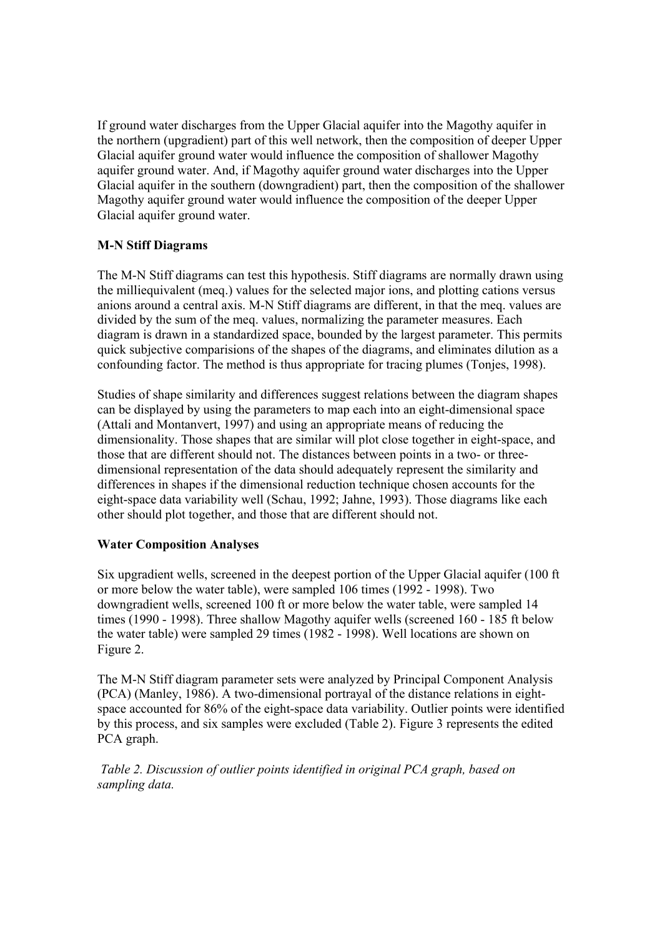If ground water discharges from the Upper Glacial aquifer into the Magothy aquifer in the northern (upgradient) part of this well network, then the composition of deeper Upper Glacial aquifer ground water would influence the composition of shallower Magothy aquifer ground water. And, if Magothy aquifer ground water discharges into the Upper Glacial aquifer in the southern (downgradient) part, then the composition of the shallower Magothy aquifer ground water would influence the composition of the deeper Upper Glacial aquifer ground water.

## **M-N Stiff Diagrams**

The M-N Stiff diagrams can test this hypothesis. Stiff diagrams are normally drawn using the milliequivalent (meq.) values for the selected major ions, and plotting cations versus anions around a central axis. M-N Stiff diagrams are different, in that the meq. values are divided by the sum of the meq. values, normalizing the parameter measures. Each diagram is drawn in a standardized space, bounded by the largest parameter. This permits quick subjective comparisions of the shapes of the diagrams, and eliminates dilution as a confounding factor. The method is thus appropriate for tracing plumes (Tonjes, 1998).

Studies of shape similarity and differences suggest relations between the diagram shapes can be displayed by using the parameters to map each into an eight-dimensional space (Attali and Montanvert, 1997) and using an appropriate means of reducing the dimensionality. Those shapes that are similar will plot close together in eight-space, and those that are different should not. The distances between points in a two- or threedimensional representation of the data should adequately represent the similarity and differences in shapes if the dimensional reduction technique chosen accounts for the eight-space data variability well (Schau, 1992; Jahne, 1993). Those diagrams like each other should plot together, and those that are different should not.

## **Water Composition Analyses**

Six upgradient wells, screened in the deepest portion of the Upper Glacial aquifer (100 ft or more below the water table), were sampled 106 times (1992 - 1998). Two downgradient wells, screened 100 ft or more below the water table, were sampled 14 times (1990 - 1998). Three shallow Magothy aquifer wells (screened 160 - 185 ft below the water table) were sampled 29 times (1982 - 1998). Well locations are shown on Figure 2.

The M-N Stiff diagram parameter sets were analyzed by Principal Component Analysis (PCA) (Manley, 1986). A two-dimensional portrayal of the distance relations in eightspace accounted for 86% of the eight-space data variability. Outlier points were identified by this process, and six samples were excluded (Table 2). Figure 3 represents the edited PCA graph.

 *Table 2. Discussion of outlier points identified in original PCA graph, based on sampling data.*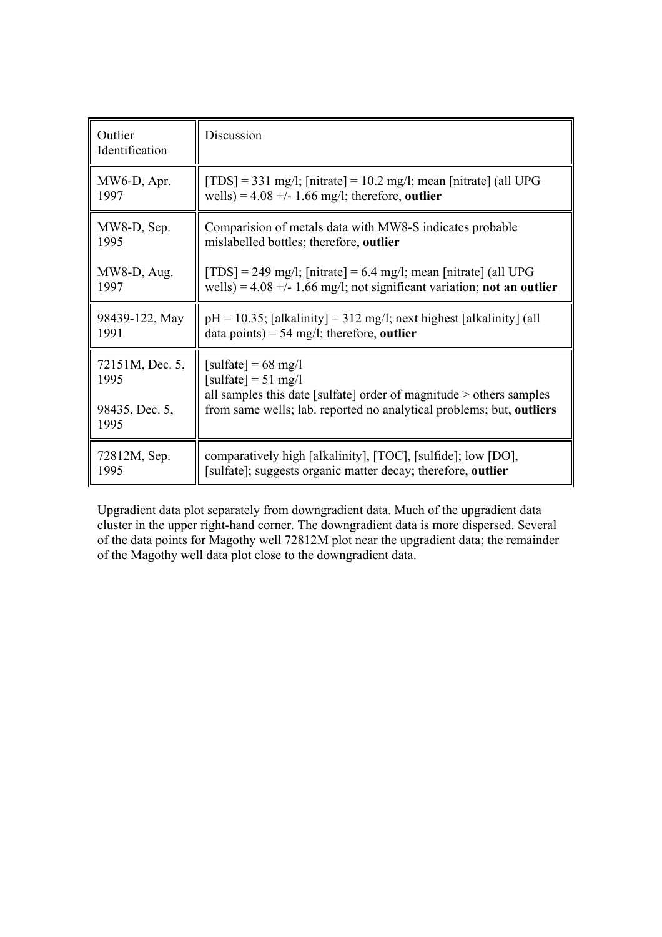| Outlier<br>Identification | Discussion                                                               |
|---------------------------|--------------------------------------------------------------------------|
| MW6-D, Apr.               | $[TDS] = 331$ mg/l; [nitrate] = 10.2 mg/l; mean [nitrate] (all UPG       |
| 1997                      | wells) = $4.08 +/- 1.66$ mg/l; therefore, outlier                        |
| MW8-D, Sep.               | Comparision of metals data with MW8-S indicates probable                 |
| 1995                      | mislabelled bottles; therefore, outlier                                  |
| $MW8-D$ , Aug.            | $[TDS] = 249$ mg/l; [nitrate] = 6.4 mg/l; mean [nitrate] (all UPG        |
| 1997                      | wells) = $4.08 +/- 1.66$ mg/l; not significant variation; not an outlier |
| 98439-122, May            | $pH = 10.35$ ; [alkalinity] = 312 mg/l; next highest [alkalinity] (all   |
| 1991                      | data points) = 54 mg/l; therefore, outlier                               |
| 72151M, Dec. 5,           | [sulfate] = $68 \text{ mg/l}$                                            |
| 1995                      | [sulfate] = $51 \text{ mg/l}$                                            |
| 98435, Dec. 5,            | all samples this date [sulfate] order of magnitude > others samples      |
| 1995                      | from same wells; lab. reported no analytical problems; but, outliers     |
| 72812M, Sep.              | comparatively high [alkalinity], [TOC], [sulfide]; low [DO],             |
| 1995                      | [sulfate]; suggests organic matter decay; therefore, outlier             |

Upgradient data plot separately from downgradient data. Much of the upgradient data cluster in the upper right-hand corner. The downgradient data is more dispersed. Several of the data points for Magothy well 72812M plot near the upgradient data; the remainder of the Magothy well data plot close to the downgradient data.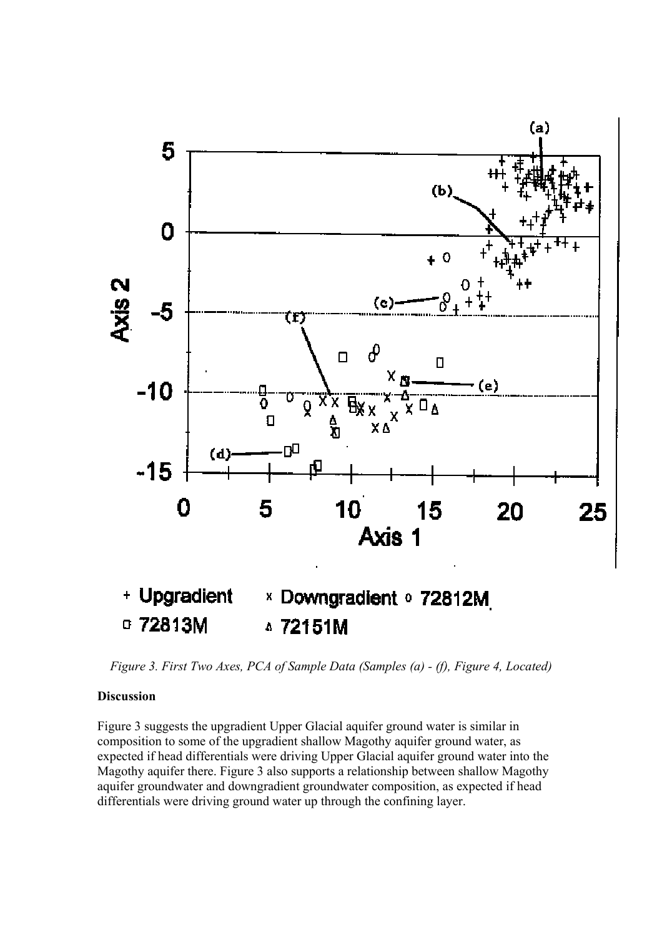

*Figure 3. First Two Axes, PCA of Sample Data (Samples (a) - (f), Figure 4, Located)*

### **Discussion**

Figure 3 suggests the upgradient Upper Glacial aquifer ground water is similar in composition to some of the upgradient shallow Magothy aquifer ground water, as expected if head differentials were driving Upper Glacial aquifer ground water into the Magothy aquifer there. Figure 3 also supports a relationship between shallow Magothy aquifer groundwater and downgradient groundwater composition, as expected if head differentials were driving ground water up through the confining layer.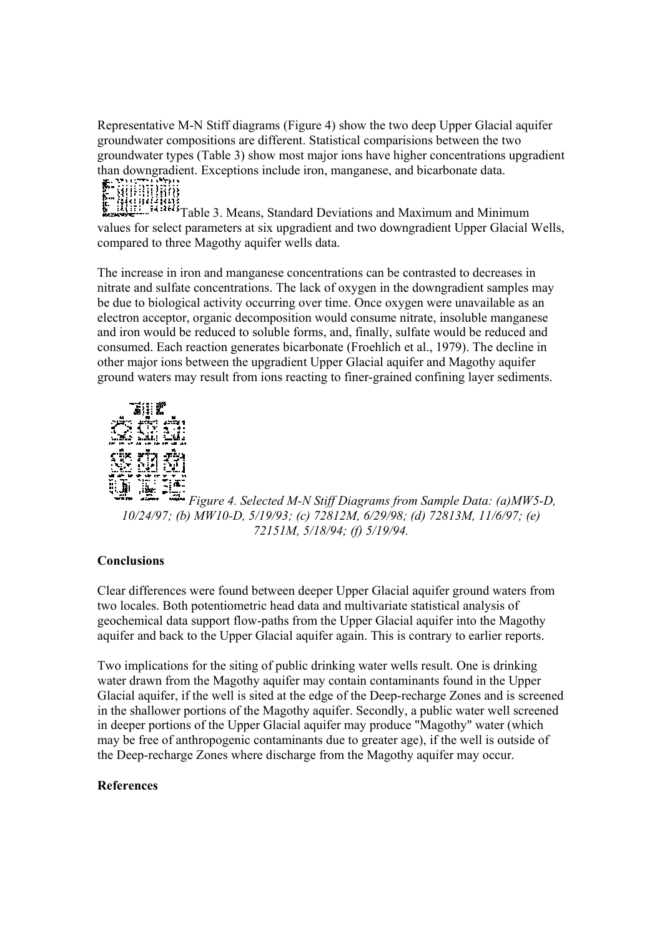Representative M-N Stiff diagrams (Figure 4) show the two deep Upper Glacial aquifer groundwater compositions are different. Statistical comparisions between the two groundwater types (Table 3) show most major ions have higher concentrations upgradient than downgradient. Exceptions include iron, manganese, and bicarbonate data.



Millian 1988<br>Table 3. Means, Standard Deviations and Maximum and Minimum<br>The Glacial values for select parameters at six upgradient and two downgradient Upper Glacial Wells, compared to three Magothy aquifer wells data.

The increase in iron and manganese concentrations can be contrasted to decreases in nitrate and sulfate concentrations. The lack of oxygen in the downgradient samples may be due to biological activity occurring over time. Once oxygen were unavailable as an electron acceptor, organic decomposition would consume nitrate, insoluble manganese and iron would be reduced to soluble forms, and, finally, sulfate would be reduced and consumed. Each reaction generates bicarbonate (Froehlich et al., 1979). The decline in other major ions between the upgradient Upper Glacial aquifer and Magothy aquifer ground waters may result from ions reacting to finer-grained confining layer sediments.



*Figure 4. Selected M-N Stiff Diagrams from Sample Data: (a)MW5-D, 10/24/97; (b) MW10-D, 5/19/93; (c) 72812M, 6/29/98; (d) 72813M, 11/6/97; (e) 72151M, 5/18/94; (f) 5/19/94.*

## **Conclusions**

Clear differences were found between deeper Upper Glacial aquifer ground waters from two locales. Both potentiometric head data and multivariate statistical analysis of geochemical data support flow-paths from the Upper Glacial aquifer into the Magothy aquifer and back to the Upper Glacial aquifer again. This is contrary to earlier reports.

Two implications for the siting of public drinking water wells result. One is drinking water drawn from the Magothy aquifer may contain contaminants found in the Upper Glacial aquifer, if the well is sited at the edge of the Deep-recharge Zones and is screened in the shallower portions of the Magothy aquifer. Secondly, a public water well screened in deeper portions of the Upper Glacial aquifer may produce "Magothy" water (which may be free of anthropogenic contaminants due to greater age), if the well is outside of the Deep-recharge Zones where discharge from the Magothy aquifer may occur.

## **References**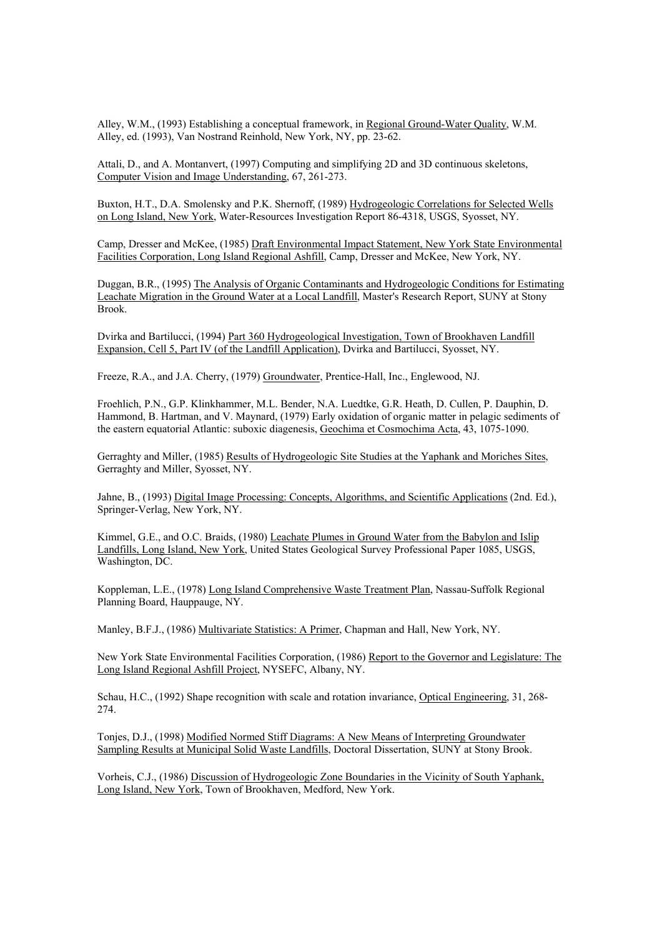Alley, W.M., (1993) Establishing a conceptual framework, in Regional Ground-Water Quality, W.M. Alley, ed. (1993), Van Nostrand Reinhold, New York, NY, pp. 23-62.

Attali, D., and A. Montanvert, (1997) Computing and simplifying 2D and 3D continuous skeletons, Computer Vision and Image Understanding, 67, 261-273.

Buxton, H.T., D.A. Smolensky and P.K. Shernoff, (1989) Hydrogeologic Correlations for Selected Wells on Long Island, New York, Water-Resources Investigation Report 86-4318, USGS, Syosset, NY.

Camp, Dresser and McKee, (1985) Draft Environmental Impact Statement, New York State Environmental Facilities Corporation, Long Island Regional Ashfill, Camp, Dresser and McKee, New York, NY.

Duggan, B.R., (1995) The Analysis of Organic Contaminants and Hydrogeologic Conditions for Estimating Leachate Migration in the Ground Water at a Local Landfill, Master's Research Report, SUNY at Stony Brook.

Dvirka and Bartilucci, (1994) Part 360 Hydrogeological Investigation, Town of Brookhaven Landfill Expansion, Cell 5, Part IV (of the Landfill Application), Dvirka and Bartilucci, Syosset, NY.

Freeze, R.A., and J.A. Cherry, (1979) Groundwater, Prentice-Hall, Inc., Englewood, NJ.

Froehlich, P.N., G.P. Klinkhammer, M.L. Bender, N.A. Luedtke, G.R. Heath, D. Cullen, P. Dauphin, D. Hammond, B. Hartman, and V. Maynard, (1979) Early oxidation of organic matter in pelagic sediments of the eastern equatorial Atlantic: suboxic diagenesis, Geochima et Cosmochima Acta, 43, 1075-1090.

Gerraghty and Miller, (1985) Results of Hydrogeologic Site Studies at the Yaphank and Moriches Sites, Gerraghty and Miller, Syosset, NY.

Jahne, B., (1993) Digital Image Processing: Concepts, Algorithms, and Scientific Applications (2nd. Ed.), Springer-Verlag, New York, NY.

Kimmel, G.E., and O.C. Braids, (1980) Leachate Plumes in Ground Water from the Babylon and Islip Landfills, Long Island, New York, United States Geological Survey Professional Paper 1085, USGS, Washington, DC.

Koppleman, L.E., (1978) Long Island Comprehensive Waste Treatment Plan, Nassau-Suffolk Regional Planning Board, Hauppauge, NY.

Manley, B.F.J., (1986) Multivariate Statistics: A Primer, Chapman and Hall, New York, NY.

New York State Environmental Facilities Corporation, (1986) Report to the Governor and Legislature: The Long Island Regional Ashfill Project, NYSEFC, Albany, NY.

Schau, H.C., (1992) Shape recognition with scale and rotation invariance, Optical Engineering, 31, 268- 274.

Tonjes, D.J., (1998) Modified Normed Stiff Diagrams: A New Means of Interpreting Groundwater Sampling Results at Municipal Solid Waste Landfills, Doctoral Dissertation, SUNY at Stony Brook.

Vorheis, C.J., (1986) Discussion of Hydrogeologic Zone Boundaries in the Vicinity of South Yaphank, Long Island, New York, Town of Brookhaven, Medford, New York.